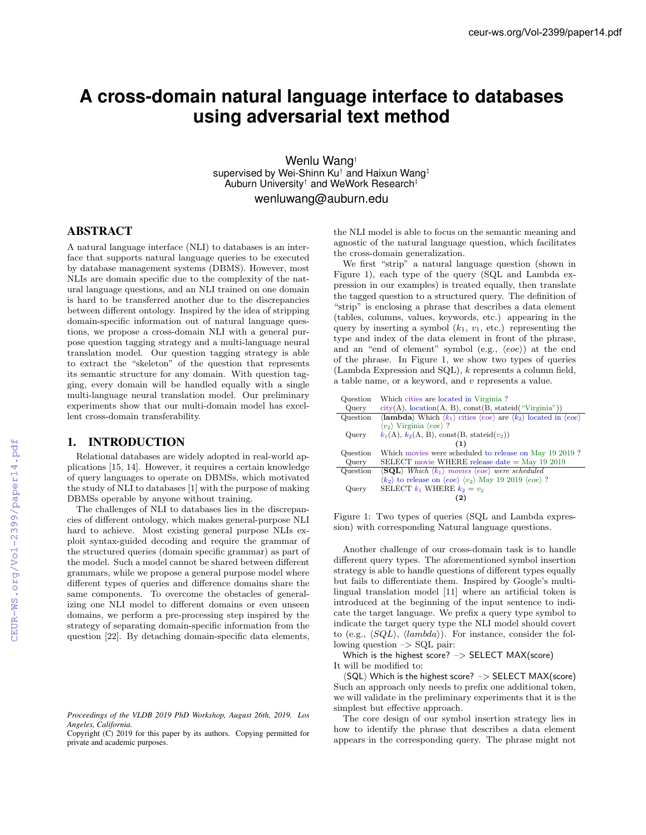# **A cross-domain natural language interface to databases using adversarial text method**

Wenlu Wang*†* supervised by Wei-Shinn Ku*†* and Haixun Wang*‡* Auburn University*†* and WeWork Research*‡* wenluwang@auburn.edu

## ABSTRACT

A natural language interface (NLI) to databases is an interface that supports natural language queries to be executed by database management systems (DBMS). However, most NLIs are domain specific due to the complexity of the natural language questions, and an NLI trained on one domain is hard to be transferred another due to the discrepancies between different ontology. Inspired by the idea of stripping domain-specific information out of natural language questions, we propose a cross-domain NLI with a general purpose question tagging strategy and a multi-language neural translation model. Our question tagging strategy is able to extract the "skeleton" of the question that represents its semantic structure for any domain. With question tagging, every domain will be handled equally with a single multi-language neural translation model. Our preliminary experiments show that our multi-domain model has excellent cross-domain transferability.

## 1. INTRODUCTION

Relational databases are widely adopted in real-world applications [15, 14]. However, it requires a certain knowledge of query languages to operate on DBMSs, which motivated the study of NLI to databases [1] with the purpose of making DBMSs operable by anyone without training.

The challenges of NLI to databases lies in the discrepancies of different ontology, which makes general-purpose NLI hard to achieve. Most existing general purpose NLIs exploit syntax-guided decoding and require the grammar of the structured queries (domain specific grammar) as part of the model. Such a model cannot be shared between different grammars, while we propose a general purpose model where different types of queries and difference domains share the same components. To overcome the obstacles of generalizing one NLI model to different domains or even unseen domains, we perform a pre-processing step inspired by the strategy of separating domain-specific information from the question [22]. By detaching domain-specific data elements, the NLI model is able to focus on the semantic meaning and agnostic of the natural language question, which facilitates the cross-domain generalization.

We first "strip" a natural language question (shown in Figure 1), each type of the query (SQL and Lambda expression in our examples) is treated equally, then translate the tagged question to a structured query. The definition of "strip" is enclosing a phrase that describes a data element (tables, columns, values, keywords, etc.) appearing in the query by inserting a symbol  $(k_1, v_1, \text{ etc.})$  representing the type and index of the data element in front of the phrase, and an "end of element" symbol (e.g.,  $\langle eoe \rangle$ ) at the end of the phrase. In Figure 1, we show two types of queries (Lambda Expression and SQL), *k* represents a column field, a table name, or a keyword, and *v* represents a value.

Question Which cities are located in Virginia ? Query city(A), location(A, B), const( $\bar{B}$ , stateid("Virginia")) Question  $\langle$ **lambda** $\rangle$  Which  $\langle k_1 \rangle$  cities  $\langle eoe \rangle$  are  $\langle k_2 \rangle$  located in  $\langle eoe \rangle$  $\langle v_2 \rangle$  Virginia  $\langle eoe \rangle$  ? Query  $k_1(A), k_2(A, B), \text{const}(B, \text{stateid}(v_2))$ (1) Question Which movies were scheduled to release on May 19 2019 ? Query SELECT movie WHERE release date  $=$  May 19 2019 Query SELECT movie WHERE release date = May 19 2019<br>Question  $\langle \text{SQL} \rangle$  Which  $\langle k_1 \rangle$  movies  $\langle \text{eoe} \rangle$  were scheduled  $\langle \mathbf{SQL} \rangle$  *Which*  $\langle k_1 \rangle$  *movies*  $\langle eoe \rangle$  *were scheduled*  $\langle k_2 \rangle$  to release on  $\langle eoe \rangle$   $\langle v_2 \rangle$  May 19 2019  $\langle eoe \rangle$  ? Query SELECT  $k_1$  WHERE  $k_2 = v_2$ (2)

Figure 1: Two types of queries (SQL and Lambda expression) with corresponding Natural language questions.

Another challenge of our cross-domain task is to handle different query types. The aforementioned symbol insertion strategy is able to handle questions of different types equally but fails to differentiate them. Inspired by Google's multilingual translation model [11] where an artificial token is introduced at the beginning of the input sentence to indicate the target language. We prefix a query type symbol to indicate the target query type the NLI model should covert to (e.g.,  $\langle SQL \rangle$ ,  $\langle lambda \rangle$ ). For instance, consider the following question –*>* SQL pair:

Which is the highest score? –*>* SELECT MAX(score) It will be modified to:

 $\langle SQL \rangle$  Which is the highest score? –> SELECT MAX(score) Such an approach only needs to prefix one additional token, we will validate in the preliminary experiments that it is the simplest but effective approach.

The core design of our symbol insertion strategy lies in how to identify the phrase that describes a data element appears in the corresponding query. The phrase might not

*Proceedings of the VLDB 2019 PhD Workshop, August 26th, 2019. Los Angeles, California.*

Copyright (C) 2019 for this paper by its authors. Copying permitted for private and academic purposes.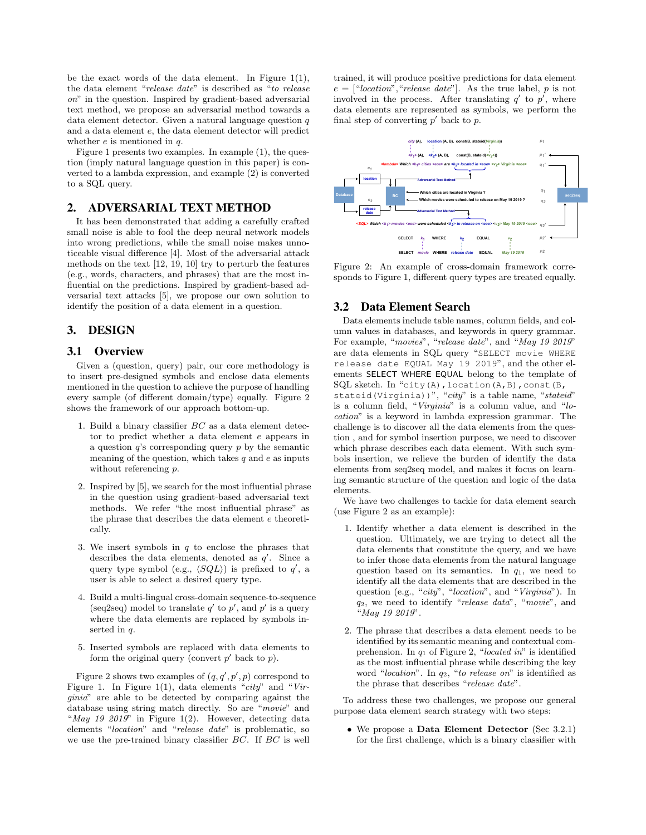be the exact words of the data element. In Figure  $1(1)$ , the data element "*release date*" is described as "*to release on*" in the question. Inspired by gradient-based adversarial text method, we propose an adversarial method towards a data element detector. Given a natural language question *q* and a data element *e*, the data element detector will predict whether *e* is mentioned in *q*.

Figure 1 presents two examples. In example  $(1)$ , the question (imply natural language question in this paper) is converted to a lambda expression, and example (2) is converted to a SQL query.

## 2. ADVERSARIAL TEXT METHOD

It has been demonstrated that adding a carefully crafted small noise is able to fool the deep neural network models into wrong predictions, while the small noise makes unnoticeable visual difference  $[4]$ . Most of the adversarial attack methods on the text [12, 19, 10] try to perturb the features (e.g., words, characters, and phrases) that are the most influential on the predictions. Inspired by gradient-based adversarial text attacks [5], we propose our own solution to identify the position of a data element in a question.

## 3. DESIGN

#### 3.1 Overview

Given a (question, query) pair, our core methodology is to insert pre-designed symbols and enclose data elements mentioned in the question to achieve the purpose of handling every sample (of different domain/type) equally. Figure  $2$ shows the framework of our approach bottom-up.

- 1. Build a binary classifier *BC* as a data element detector to predict whether a data element *e* appears in a question *q*'s corresponding query *p* by the semantic meaning of the question, which takes *q* and *e* as inputs without referencing *p*.
- 2. Inspired by [5], we search for the most influential phrase in the question using gradient-based adversarial text methods. We refer "the most influential phrase" as the phrase that describes the data element *e* theoretically.
- 3. We insert symbols in *q* to enclose the phrases that describes the data elements, denoted as  $q'$ . Since a query type symbol (e.g.,  $\langle SQL \rangle$ ) is prefixed to *q'*, a user is able to select a desired query type.
- 4. Build a multi-lingual cross-domain sequence-to-sequence (seq2seq) model to translate  $q'$  to  $p'$ , and  $p'$  is a query where the data elements are replaced by symbols inserted in *q*.
- 5. Inserted symbols are replaced with data elements to form the original query (convert  $p'$  back to  $p$ ).

Figure 2 shows two examples of  $(q, q', p', p)$  correspond to Figure 1. In Figure 1(1), data elements "*city*" and "*Virginia*" are able to be detected by comparing against the database using string match directly. So are "*movie*" and "*May 19 2019*" in Figure 1(2). However, detecting data elements "*location*" and "*release date*" is problematic, so we use the pre-trained binary classifier *BC*. If *BC* is well trained, it will produce positive predictions for data element  $e =$  ["*location*", "*release date*"]. As the true label, *p* is not involved in the process. After translating  $q'$  to  $p'$ , where data elements are represented as symbols, we perform the final step of converting  $p'$  back to  $p$ .



Figure 2: An example of cross-domain framework corresponds to Figure 1, different query types are treated equally.

## 3.2 Data Element Search

Data elements include table names, column fields, and column values in databases, and keywords in query grammar. For example, "*movies*", "*release date*", and "*May 19 2019*" are data elements in SQL query "SELECT movie WHERE release date EQUAL May 19 2019", and the other elements SELECT WHERE EQUAL belong to the template of SQL sketch. In "city(A),location(A,B),const(B, stateid(Virginia))", "*city*" is a table name, "*stateid*" is a column field, "*Virginia*" is a column value, and "*location*" is a keyword in lambda expression grammar. The challenge is to discover all the data elements from the question , and for symbol insertion purpose, we need to discover which phrase describes each data element. With such symbols insertion, we relieve the burden of identify the data elements from seq2seq model, and makes it focus on learning semantic structure of the question and logic of the data elements.

We have two challenges to tackle for data element search (use Figure 2 as an example):

- 1. Identify whether a data element is described in the question. Ultimately, we are trying to detect all the data elements that constitute the query, and we have to infer those data elements from the natural language question based on its semantics. In *q*1, we need to identify all the data elements that are described in the question (e.g., "*city*", "*location*", and "*Virginia*"). In *q*2, we need to identify "*release data*", "*movie*", and "*May 19 2019*".
- 2. The phrase that describes a data element needs to be identified by its semantic meaning and contextual comprehension. In *q*<sup>1</sup> of Figure 2, "*located in*" is identified as the most influential phrase while describing the key word "*location*". In *q*2, "*to release on*" is identified as the phrase that describes "*release date*".

To address these two challenges, we propose our general purpose data element search strategy with two steps:

• We propose a **Data Element Detector** (Sec 3.2.1) for the first challenge, which is a binary classifier with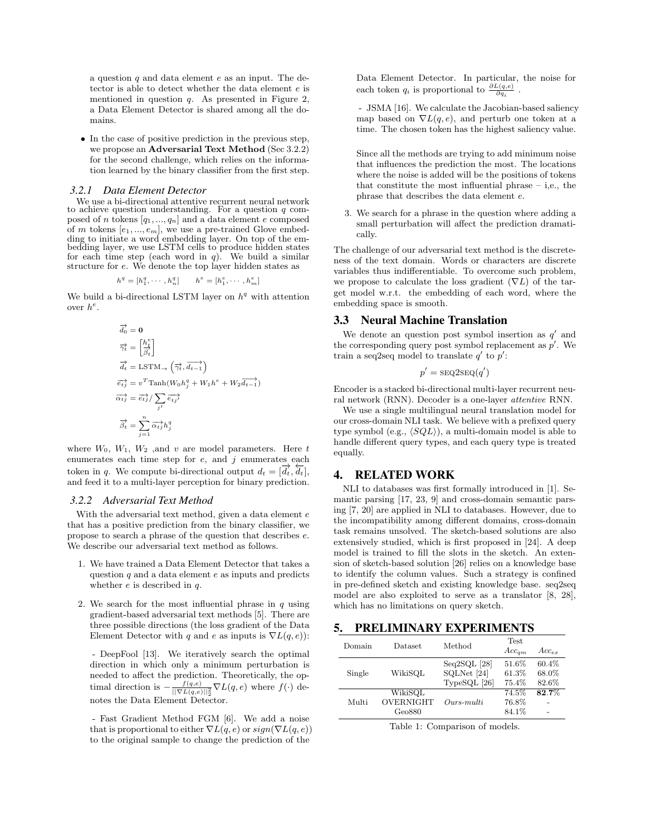a question *q* and data element *e* as an input. The detector is able to detect whether the data element *e* is mentioned in question *q*. As presented in Figure 2, a Data Element Detector is shared among all the domains.

*•* In the case of positive prediction in the previous step, we propose an **Adversarial Text Method** (Sec 3.2.2) for the second challenge, which relies on the information learned by the binary classifier from the first step.

#### *3.2.1 Data Element Detector*

We use a bi-directional attentive recurrent neural network to achieve question understanding. For a question *q* composed of *n* tokens [*q*1*, ..., qn*] and a data element *e* composed of *m* tokens [*e*1*, ..., em*], we use a pre-trained Glove embedding to initiate a word embedding layer. On top of the embedding layer, we use LSTM cells to produce hidden states for each time step (each word in *q*). We build a similar structure for *e*. We denote the top layer hidden states as

$$
h^q = [h_1^q, \cdots, h_n^q] \qquad h^e = [h_1^e, \cdots, h_m^e]
$$

We build a bi-directional LSTM layer on  $h<sup>q</sup>$  with attention over *h<sup>e</sup>*.

$$
\overrightarrow{d_0} = \mathbf{0}
$$
\n
$$
\overrightarrow{\gamma_t} = \left[\frac{h_t^e}{\overrightarrow{\beta_t}}\right]
$$
\n
$$
\overrightarrow{d_t} = \text{LSTM}_{\rightarrow} \left(\overrightarrow{\gamma_t}, \overrightarrow{d_{t-1}}\right)
$$
\n
$$
\overrightarrow{e_{tj}} = v^T \text{Tanh}(W_0 h_j^q + W_1 h^e + W_2 \overrightarrow{d_{t-1}})
$$
\n
$$
\overrightarrow{\alpha_{tj}} = \overrightarrow{e_{tj}} / \sum_{j'} \overrightarrow{e_{tj}} \overrightarrow{i_j}
$$
\n
$$
\overrightarrow{\beta_t} = \sum_{j=1}^n \overrightarrow{\alpha_{tj}} h_j^q
$$

where  $W_0$ ,  $W_1$ ,  $W_2$ , and  $v$  are model parameters. Here  $t$ enumerates each time step for *e*, and *j* enumerates each token in *q*. We compute bi-directional output  $d_t = [\overrightarrow{d_t}, \overleftarrow{d_t}]$ , and feed it to a multi-layer perception for binary prediction.

#### *3.2.2 Adversarial Text Method*

With the adversarial text method, given a data element *e* that has a positive prediction from the binary classifier, we propose to search a phrase of the question that describes *e*. We describe our adversarial text method as follows.

- 1. We have trained a Data Element Detector that takes a question *q* and a data element *e* as inputs and predicts whether *e* is described in *q*.
- 2. We search for the most influential phrase in *q* using gradient-based adversarial text methods [5]. There are three possible directions (the loss gradient of the Data Element Detector with *q* and *e* as inputs is  $\nabla L(q, e)$ :

- DeepFool [13]. We iteratively search the optimal direction in which only a minimum perturbation is needed to affect the prediction. Theoretically, the optimal direction is  $-\frac{f(q,e)}{\|\nabla L(q,e)\|_2^2} \nabla L(q,e)$  where  $f(\cdot)$  denotes the Data Element Detector.

- Fast Gradient Method FGM [6]. We add a noise that is proportional to either  $\nabla L(q, e)$  or  $sign(\nabla L(q, e))$ to the original sample to change the prediction of the

Data Element Detector. In particular, the noise for each token  $q_i$  is proportional to  $\frac{\partial L(q,e)}{\partial q_i}$ .

- JSMA [16]. We calculate the Jacobian-based saliency map based on  $\nabla L(q, e)$ , and perturb one token at a time. The chosen token has the highest saliency value.

Since all the methods are trying to add minimum noise that influences the prediction the most. The locations where the noise is added will be the positions of tokens that constitute the most influential phrase  $-$  i,e., the phrase that describes the data element *e*.

3. We search for a phrase in the question where adding a small perturbation will affect the prediction dramatically.

The challenge of our adversarial text method is the discreteness of the text domain. Words or characters are discrete variables thus indifferentiable. To overcome such problem, we propose to calculate the loss gradient  $(\nabla L)$  of the target model w.r.t. the embedding of each word, where the embedding space is smooth.

### 3.3 Neural Machine Translation

We denote an question post symbol insertion as  $q'$  and the corresponding query post symbol replacement as  $p'$ . We train a seq2seq model to translate  $q'$  to  $p'$ :

$$
p' = \text{SEQ2SEQ}(q')
$$

Encoder is a stacked bi-directional multi-layer recurrent neural network (RNN). Decoder is a one-layer *attentive* RNN.

We use a single multilingual neural translation model for our cross-domain NLI task. We believe with a prefixed query type symbol (e.g.,  $\langle SQL \rangle$ ), a multi-domain model is able to handle different query types, and each query type is treated equally.

## 4. RELATED WORK

NLI to databases was first formally introduced in [1]. Semantic parsing [17, 23, 9] and cross-domain semantic parsing [7, 20] are applied in NLI to databases. However, due to the incompatibility among different domains, cross-domain task remains unsolved. The sketch-based solutions are also extensively studied, which is first proposed in [24]. A deep model is trained to fill the slots in the sketch. An extension of sketch-based solution [26] relies on a knowledge base to identify the column values. Such a strategy is confined in pre-defined sketch and existing knowledge base. seq2seq model are also exploited to serve as a translator [8, 28], which has no limitations on query sketch.

| <b>PRELIMINARY EXPERIMENTS</b><br>5. |  |
|--------------------------------------|--|
|--------------------------------------|--|

| Domain | Dataset                                | Method                                        | Test.<br>$Acc_{am}$     | $Acc_{ex}$              |
|--------|----------------------------------------|-----------------------------------------------|-------------------------|-------------------------|
| Single | WikiSQL                                | $Seq2SQL$ [28]<br>SQLNet [24]<br>TypeSQL [26] | 51.6%<br>61.3%<br>75.4% | 60.4%<br>68.0%<br>82.6% |
| Multi  | WikiSQL<br><b>OVERNIGHT</b><br>Geo 880 | $Our s-multi$                                 | 74.5%<br>76.8%<br>84.1% | 82.7%                   |

Table 1: Comparison of models.